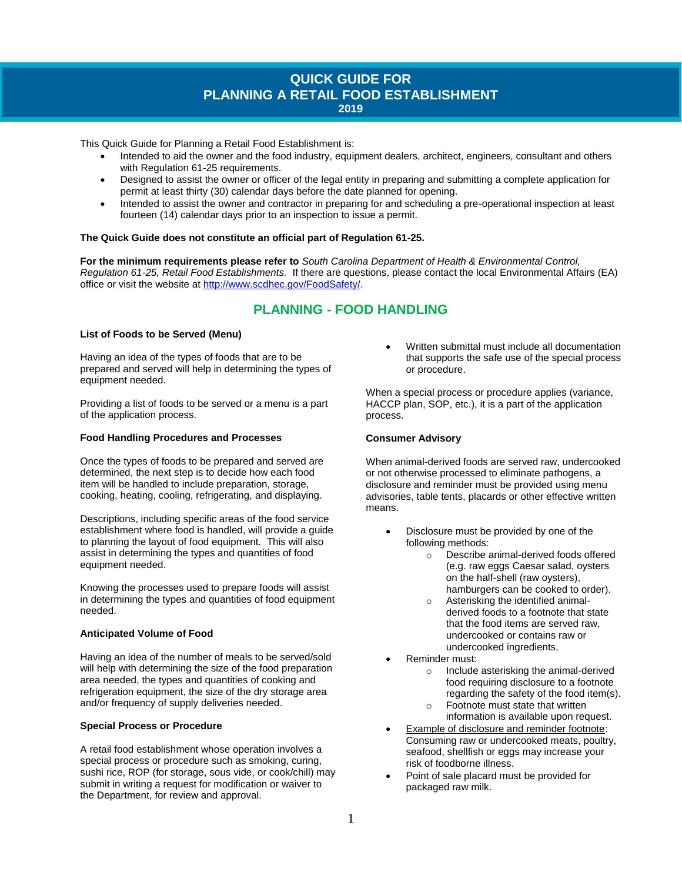# **QUICK GUIDE FOR PLANNING A RETAIL FOOD ESTABLISHMENT 2019**

This Quick Guide for Planning a Retail Food Establishment is:

- Intended to aid the owner and the food industry, equipment dealers, architect, engineers, consultant and others with Regulation 61-25 requirements.
- Designed to assist the owner or officer of the legal entity in preparing and submitting a complete application for permit at least thirty (30) calendar days before the date planned for opening.
- Intended to assist the owner and contractor in preparing for and scheduling a pre-operational inspection at least fourteen (14) calendar days prior to an inspection to issue a permit.

#### **The Quick Guide does not constitute an official part of Regulation 61-25.**

**For the minimum requirements please refer to** *South Carolina Department of Health & Environmental Control, Regulation 61-25, Retail Food Establishments.* If there are questions, please contact the local Environmental Affairs (EA) office or visit the website a[t http://www.scdhec.gov/FoodSafety/.](http://www.scdhec.gov/FoodSafety/)

# **PLANNING - FOOD HANDLING**

#### **List of Foods to be Served (Menu)**

Having an idea of the types of foods that are to be prepared and served will help in determining the types of equipment needed.

Providing a list of foods to be served or a menu is a part of the application process.

#### **Food Handling Procedures and Processes**

Once the types of foods to be prepared and served are determined, the next step is to decide how each food item will be handled to include preparation, storage, cooking, heating, cooling, refrigerating, and displaying.

Descriptions, including specific areas of the food service establishment where food is handled, will provide a guide to planning the layout of food equipment. This will also assist in determining the types and quantities of food equipment needed.

Knowing the processes used to prepare foods will assist in determining the types and quantities of food equipment needed.

#### **Anticipated Volume of Food**

Having an idea of the number of meals to be served/sold will help with determining the size of the food preparation area needed, the types and quantities of cooking and refrigeration equipment, the size of the dry storage area and/or frequency of supply deliveries needed.

## **Special Process or Procedure**

A retail food establishment whose operation involves a special process or procedure such as smoking, curing, sushi rice, ROP (for storage, sous vide, or cook/chill) may submit in writing a request for modification or waiver to the Department, for review and approval.

• Written submittal must include all documentation that supports the safe use of the special process or procedure.

When a special process or procedure applies (variance, HACCP plan, SOP, etc.), it is a part of the application process.

#### **Consumer Advisory**

When animal-derived foods are served raw, undercooked or not otherwise processed to eliminate pathogens, a disclosure and reminder must be provided using menu advisories, table tents, placards or other effective written means.

- Disclosure must be provided by one of the following methods:
	- o Describe animal-derived foods offered (e.g. raw eggs Caesar salad, oysters on the half-shell (raw oysters), hamburgers can be cooked to order).
	- o Asterisking the identified animalderived foods to a footnote that state that the food items are served raw, undercooked or contains raw or undercooked ingredients.
- Reminder must:
	- o Include asterisking the animal-derived food requiring disclosure to a footnote regarding the safety of the food item(s).
	- o Footnote must state that written information is available upon request.
- Example of disclosure and reminder footnote: Consuming raw or undercooked meats, poultry, seafood, shellfish or eggs may increase your risk of foodborne illness.
- Point of sale placard must be provided for packaged raw milk.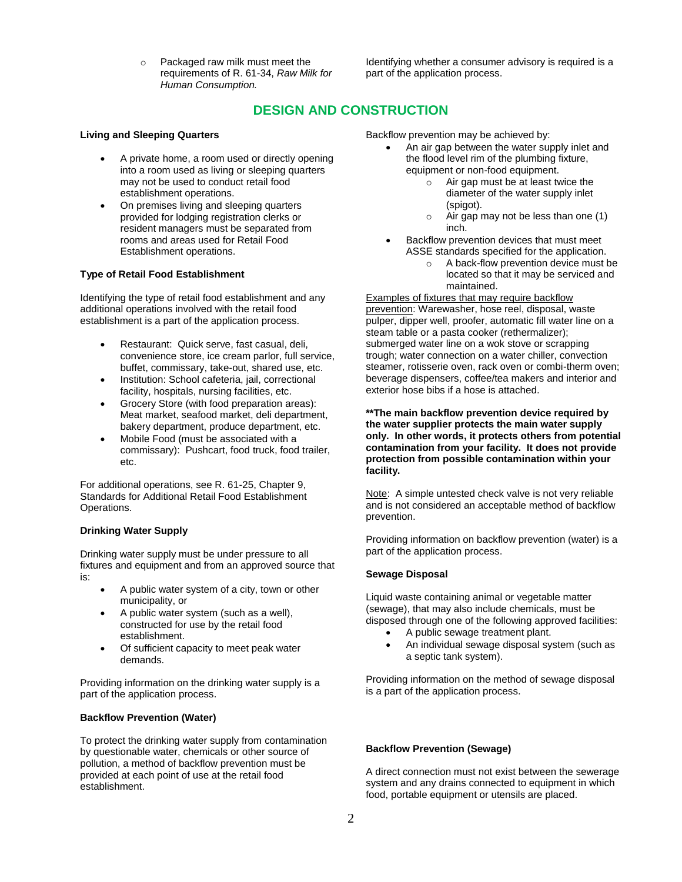o Packaged raw milk must meet the requirements of R. 61-34, *Raw Milk for Human Consumption.*

Identifying whether a consumer advisory is required is a part of the application process.

# **DESIGN AND CONSTRUCTION**

#### **Living and Sleeping Quarters**

- A private home, a room used or directly opening into a room used as living or sleeping quarters may not be used to conduct retail food establishment operations.
- On premises living and sleeping quarters provided for lodging registration clerks or resident managers must be separated from rooms and areas used for Retail Food Establishment operations.

#### **Type of Retail Food Establishment**

Identifying the type of retail food establishment and any additional operations involved with the retail food establishment is a part of the application process.

- Restaurant: Quick serve, fast casual, deli, convenience store, ice cream parlor, full service, buffet, commissary, take-out, shared use, etc.
- Institution: School cafeteria, jail, correctional facility, hospitals, nursing facilities, etc.
- Grocery Store (with food preparation areas): Meat market, seafood market, deli department, bakery department, produce department, etc.
- Mobile Food (must be associated with a commissary): Pushcart, food truck, food trailer, etc.

For additional operations, see R. 61-25, Chapter 9, Standards for Additional Retail Food Establishment Operations.

#### **Drinking Water Supply**

Drinking water supply must be under pressure to all fixtures and equipment and from an approved source that is:

- A public water system of a city, town or other municipality, or
- A public water system (such as a well), constructed for use by the retail food establishment.
- Of sufficient capacity to meet peak water demands.

Providing information on the drinking water supply is a part of the application process.

#### **Backflow Prevention (Water)**

To protect the drinking water supply from contamination by questionable water, chemicals or other source of pollution, a method of backflow prevention must be provided at each point of use at the retail food establishment.

Backflow prevention may be achieved by:

- An air gap between the water supply inlet and the flood level rim of the plumbing fixture, equipment or non-food equipment.
	- o Air gap must be at least twice the diameter of the water supply inlet (spigot).
	- o Air gap may not be less than one (1) inch.
- Backflow prevention devices that must meet ASSE standards specified for the application.
	- o A back-flow prevention device must be located so that it may be serviced and maintained.

Examples of fixtures that may require backflow prevention: Warewasher, hose reel, disposal, waste pulper, dipper well, proofer, automatic fill water line on a steam table or a pasta cooker (rethermalizer); submerged water line on a wok stove or scrapping trough; water connection on a water chiller, convection steamer, rotisserie oven, rack oven or combi-therm oven; beverage dispensers, coffee/tea makers and interior and exterior hose bibs if a hose is attached.

**\*\*The main backflow prevention device required by the water supplier protects the main water supply only. In other words, it protects others from potential contamination from your facility. It does not provide protection from possible contamination within your facility.**

Note: A simple untested check valve is not very reliable and is not considered an acceptable method of backflow prevention.

Providing information on backflow prevention (water) is a part of the application process.

#### **Sewage Disposal**

Liquid waste containing animal or vegetable matter (sewage), that may also include chemicals, must be disposed through one of the following approved facilities:

- A public sewage treatment plant.
- An individual sewage disposal system (such as a septic tank system).

Providing information on the method of sewage disposal is a part of the application process.

#### **Backflow Prevention (Sewage)**

A direct connection must not exist between the sewerage system and any drains connected to equipment in which food, portable equipment or utensils are placed.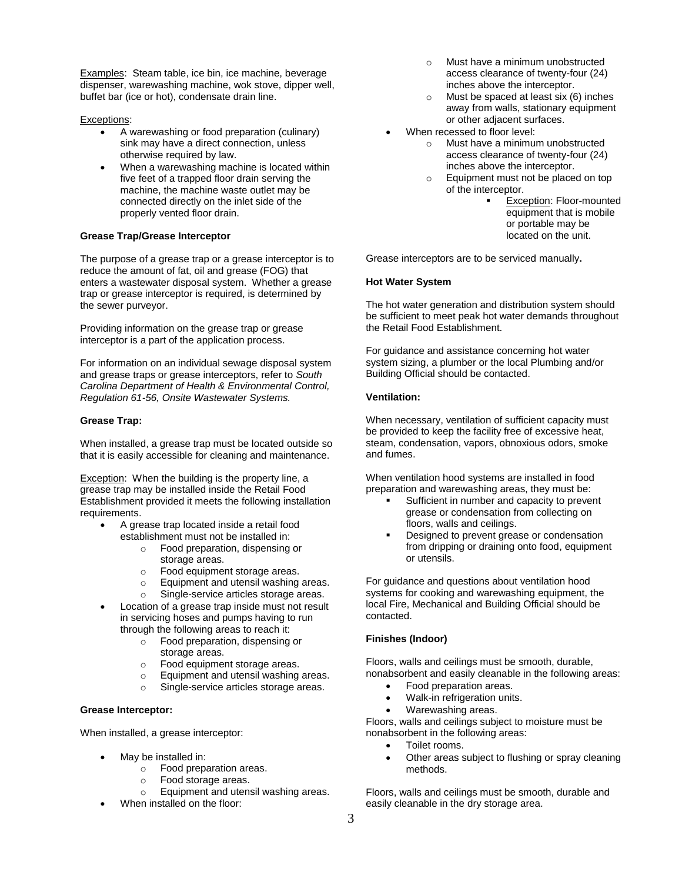Examples: Steam table, ice bin, ice machine, beverage dispenser, warewashing machine, wok stove, dipper well, buffet bar (ice or hot), condensate drain line.

## Exceptions:

- A warewashing or food preparation (culinary) sink may have a direct connection, unless otherwise required by law.
- When a warewashing machine is located within five feet of a trapped floor drain serving the machine, the machine waste outlet may be connected directly on the inlet side of the properly vented floor drain.

# **Grease Trap/Grease Interceptor**

The purpose of a grease trap or a grease interceptor is to reduce the amount of fat, oil and grease (FOG) that enters a wastewater disposal system. Whether a grease trap or grease interceptor is required, is determined by the sewer purveyor.

Providing information on the grease trap or grease interceptor is a part of the application process.

For information on an individual sewage disposal system and grease traps or grease interceptors, refer to *South Carolina Department of Health & Environmental Control, Regulation 61-56, Onsite Wastewater Systems.*

## **Grease Trap:**

When installed, a grease trap must be located outside so that it is easily accessible for cleaning and maintenance.

**Exception:** When the building is the property line, a grease trap may be installed inside the Retail Food Establishment provided it meets the following installation requirements.

- A grease trap located inside a retail food establishment must not be installed in:
	- o Food preparation, dispensing or storage areas.
	- o Food equipment storage areas.
	- o Equipment and utensil washing areas.
	- o Single-service articles storage areas.
- Location of a grease trap inside must not result in servicing hoses and pumps having to run through the following areas to reach it:
	- o Food preparation, dispensing or storage areas.
	- o Food equipment storage areas.
	- o Equipment and utensil washing areas.
	- o Single-service articles storage areas.

# **Grease Interceptor:**

When installed, a grease interceptor:

- May be installed in:
	- o Food preparation areas.
	- o Food storage areas.
	- o Equipment and utensil washing areas.
- When installed on the floor:
- o Must have a minimum unobstructed access clearance of twenty-four (24) inches above the interceptor.
- o Must be spaced at least six (6) inches away from walls, stationary equipment or other adjacent surfaces.
- When recessed to floor level:
	- o Must have a minimum unobstructed access clearance of twenty-four (24) inches above the interceptor.
	- o Equipment must not be placed on top of the interceptor.
		- **Exception: Floor-mounted** equipment that is mobile or portable may be located on the unit.

Grease interceptors are to be serviced manually**.**

## **Hot Water System**

The hot water generation and distribution system should be sufficient to meet peak hot water demands throughout the Retail Food Establishment.

For guidance and assistance concerning hot water system sizing, a plumber or the local Plumbing and/or Building Official should be contacted.

## **Ventilation:**

When necessary, ventilation of sufficient capacity must be provided to keep the facility free of excessive heat, steam, condensation, vapors, obnoxious odors, smoke and fumes.

When ventilation hood systems are installed in food preparation and warewashing areas, they must be:

- Sufficient in number and capacity to prevent grease or condensation from collecting on floors, walls and ceilings.
- **•** Designed to prevent grease or condensation from dripping or draining onto food, equipment or utensils.

For guidance and questions about ventilation hood systems for cooking and warewashing equipment, the local Fire, Mechanical and Building Official should be contacted.

# **Finishes (Indoor)**

Floors, walls and ceilings must be smooth, durable, nonabsorbent and easily cleanable in the following areas:

- Food preparation areas.
- Walk-in refrigeration units.
- Warewashing areas.

Floors, walls and ceilings subject to moisture must be nonabsorbent in the following areas:

- Toilet rooms.
- Other areas subject to flushing or spray cleaning methods.

Floors, walls and ceilings must be smooth, durable and easily cleanable in the dry storage area.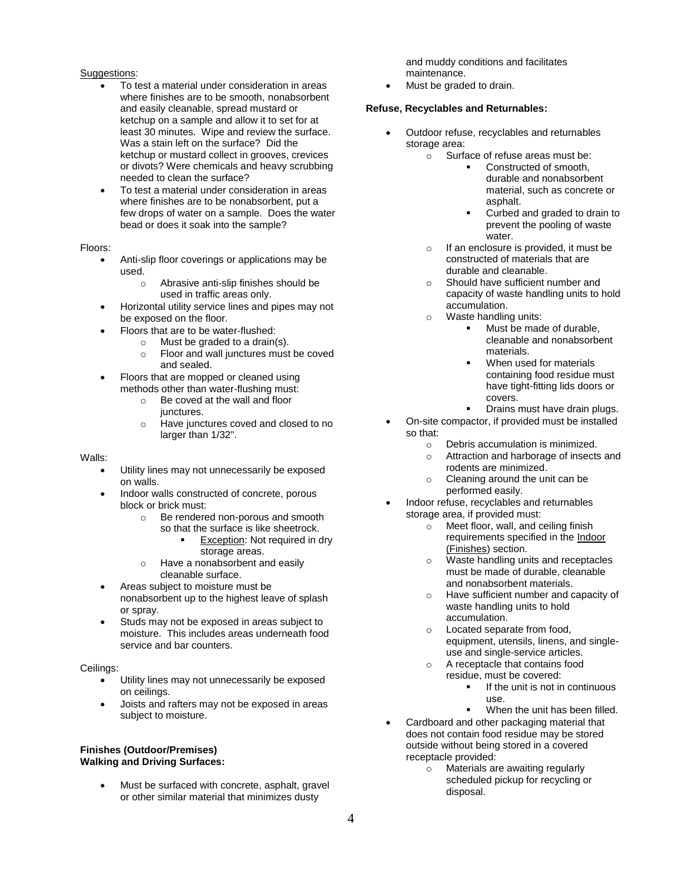## Suggestions:

- To test a material under consideration in areas where finishes are to be smooth, nonabsorbent and easily cleanable, spread mustard or ketchup on a sample and allow it to set for at least 30 minutes. Wipe and review the surface. Was a stain left on the surface? Did the ketchup or mustard collect in grooves, crevices or divots? Were chemicals and heavy scrubbing needed to clean the surface?
- To test a material under consideration in areas where finishes are to be nonabsorbent, put a few drops of water on a sample. Does the water bead or does it soak into the sample?

## Floors:

- Anti-slip floor coverings or applications may be used.
	- o Abrasive anti-slip finishes should be used in traffic areas only.
- Horizontal utility service lines and pipes may not be exposed on the floor.
- Floors that are to be water-flushed:
	- o Must be graded to a drain(s).
		- o Floor and wall junctures must be coved and sealed.
- Floors that are mopped or cleaned using methods other than water-flushing must:
	- o Be coved at the wall and floor junctures.
	- o Have junctures coved and closed to no larger than 1/32".

## Walls:

- Utility lines may not unnecessarily be exposed on walls.
- Indoor walls constructed of concrete, porous block or brick must:
	- o Be rendered non-porous and smooth so that the surface is like sheetrock.
		- Exception: Not required in dry storage areas.
	- o Have a nonabsorbent and easily cleanable surface.
- Areas subject to moisture must be nonabsorbent up to the highest leave of splash or spray.
- Studs may not be exposed in areas subject to moisture. This includes areas underneath food service and bar counters.

#### Ceilings:

- Utility lines may not unnecessarily be exposed on ceilings.
- Joists and rafters may not be exposed in areas subject to moisture.

#### **Finishes (Outdoor/Premises) Walking and Driving Surfaces:**

Must be surfaced with concrete, asphalt, gravel or other similar material that minimizes dusty

and muddy conditions and facilitates maintenance.

Must be graded to drain.

## **Refuse, Recyclables and Returnables:**

- Outdoor refuse, recyclables and returnables storage area:
	- $\circ$  Surface of refuse areas must be:
		- Constructed of smooth, durable and nonabsorbent material, such as concrete or asphalt.
		- Curbed and graded to drain to prevent the pooling of waste water.
		- o If an enclosure is provided, it must be constructed of materials that are durable and cleanable.
		- o Should have sufficient number and capacity of waste handling units to hold accumulation.
		- o Waste handling units:
			- Must be made of durable, cleanable and nonabsorbent materials.
			- When used for materials containing food residue must have tight-fitting lids doors or covers.
			- Drains must have drain plugs.
- On-site compactor, if provided must be installed so that:
	- o Debris accumulation is minimized.
	- o Attraction and harborage of insects and rodents are minimized.
	- o Cleaning around the unit can be performed easily.
- Indoor refuse, recyclables and returnables storage area, if provided must:
	- $\circ$  Meet floor, wall, and ceiling finish requirements specified in the Indoor (Finishes) section.
	- o Waste handling units and receptacles must be made of durable, cleanable and nonabsorbent materials.
	- o Have sufficient number and capacity of waste handling units to hold accumulation.
	- o Located separate from food, equipment, utensils, linens, and singleuse and single-service articles.
	- A receptacle that contains food residue, must be covered:
		- If the unit is not in continuous use.
		- When the unit has been filled.
- Cardboard and other packaging material that does not contain food residue may be stored outside without being stored in a covered receptacle provided:
	- o Materials are awaiting regularly scheduled pickup for recycling or disposal.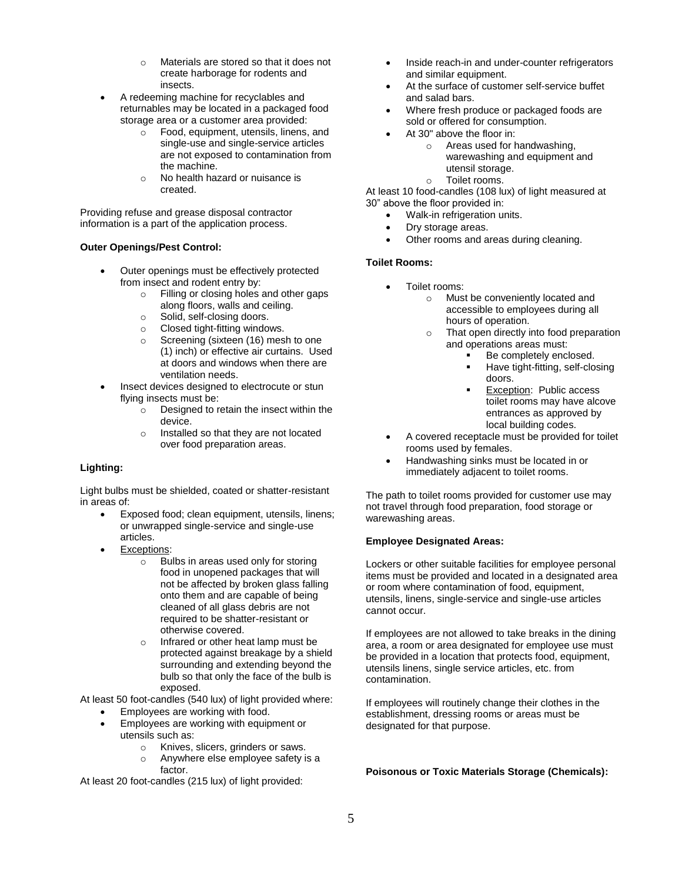- o Materials are stored so that it does not create harborage for rodents and insects.
- A redeeming machine for recyclables and returnables may be located in a packaged food storage area or a customer area provided:
	- o Food, equipment, utensils, linens, and single-use and single-service articles are not exposed to contamination from the machine.
	- o No health hazard or nuisance is created.

Providing refuse and grease disposal contractor information is a part of the application process.

## **Outer Openings/Pest Control:**

- Outer openings must be effectively protected from insect and rodent entry by:
	- o Filling or closing holes and other gaps along floors, walls and ceiling.
	- o Solid, self-closing doors.
	- o Closed tight-fitting windows.
	- o Screening (sixteen (16) mesh to one (1) inch) or effective air curtains. Used at doors and windows when there are ventilation needs.
- Insect devices designed to electrocute or stun flying insects must be:
	- $\circ$  Designed to retain the insect within the device.
	- o Installed so that they are not located over food preparation areas.

# **Lighting:**

Light bulbs must be shielded, coated or shatter-resistant in areas of:

- Exposed food; clean equipment, utensils, linens; or unwrapped single-service and single-use articles.
- Exceptions:
	- o Bulbs in areas used only for storing food in unopened packages that will not be affected by broken glass falling onto them and are capable of being cleaned of all glass debris are not required to be shatter-resistant or otherwise covered.
	- o Infrared or other heat lamp must be protected against breakage by a shield surrounding and extending beyond the bulb so that only the face of the bulb is exposed.

At least 50 foot-candles (540 lux) of light provided where:

- Employees are working with food.
	- Employees are working with equipment or utensils such as:
		- o Knives, slicers, grinders or saws.
		- o Anywhere else employee safety is a factor.

At least 20 foot-candles (215 lux) of light provided:

- Inside reach-in and under-counter refrigerators and similar equipment.
- At the surface of customer self-service buffet and salad bars.
- Where fresh produce or packaged foods are sold or offered for consumption.
- At 30" above the floor in:
	- o Areas used for handwashing, warewashing and equipment and utensil storage.
	- o Toilet rooms.

At least 10 food-candles (108 lux) of light measured at 30" above the floor provided in:

- Walk-in refrigeration units.
- Dry storage areas.
- Other rooms and areas during cleaning.

## **Toilet Rooms:**

- Toilet rooms:
	- o Must be conveniently located and accessible to employees during all hours of operation.
	- o That open directly into food preparation and operations areas must:
		- Be completely enclosed.
		- Have tight-fitting, self-closing doors.
		- Exception: Public access toilet rooms may have alcove entrances as approved by local building codes.
- A covered receptacle must be provided for toilet rooms used by females.
- Handwashing sinks must be located in or immediately adjacent to toilet rooms.

The path to toilet rooms provided for customer use may not travel through food preparation, food storage or warewashing areas.

# **Employee Designated Areas:**

Lockers or other suitable facilities for employee personal items must be provided and located in a designated area or room where contamination of food, equipment, utensils, linens, single-service and single-use articles cannot occur.

If employees are not allowed to take breaks in the dining area, a room or area designated for employee use must be provided in a location that protects food, equipment, utensils linens, single service articles, etc. from contamination.

If employees will routinely change their clothes in the establishment, dressing rooms or areas must be designated for that purpose.

# **Poisonous or Toxic Materials Storage (Chemicals):**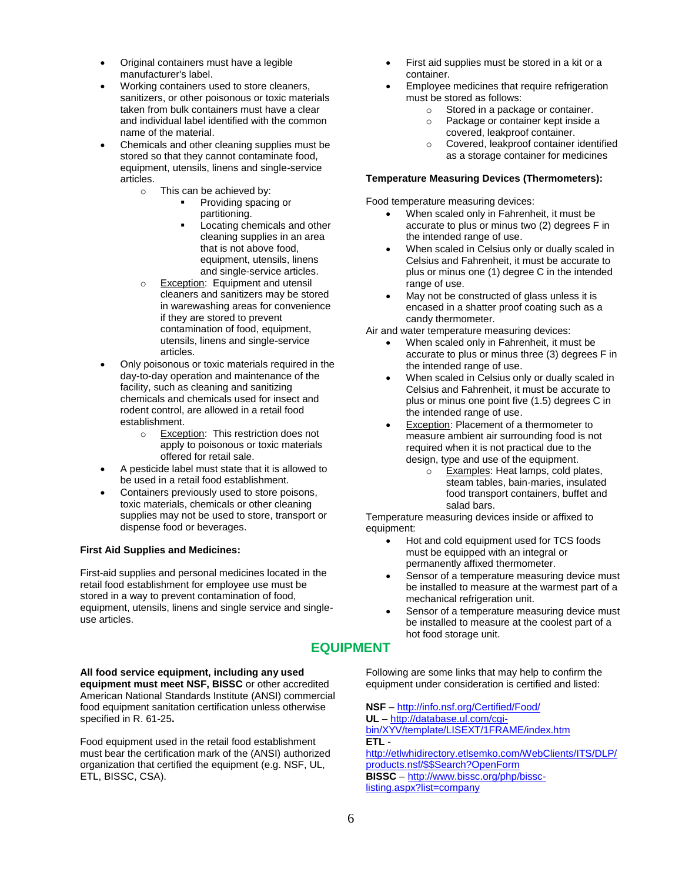- Original containers must have a legible manufacturer's label.
- Working containers used to store cleaners, sanitizers, or other poisonous or toxic materials taken from bulk containers must have a clear and individual label identified with the common name of the material.
- Chemicals and other cleaning supplies must be stored so that they cannot contaminate food, equipment, utensils, linens and single-service articles.
	- o This can be achieved by:
		- Providing spacing or partitioning.
			- Locating chemicals and other cleaning supplies in an area that is not above food, equipment, utensils, linens and single-service articles.
	- o Exception: Equipment and utensil cleaners and sanitizers may be stored in warewashing areas for convenience if they are stored to prevent contamination of food, equipment, utensils, linens and single-service articles.
- Only poisonous or toxic materials required in the day-to-day operation and maintenance of the facility, such as cleaning and sanitizing chemicals and chemicals used for insect and rodent control, are allowed in a retail food establishment.
	- o **Exception:** This restriction does not apply to poisonous or toxic materials offered for retail sale.
- A pesticide label must state that it is allowed to be used in a retail food establishment.
- Containers previously used to store poisons, toxic materials, chemicals or other cleaning supplies may not be used to store, transport or dispense food or beverages.

# **First Aid Supplies and Medicines:**

First-aid supplies and personal medicines located in the retail food establishment for employee use must be stored in a way to prevent contamination of food, equipment, utensils, linens and single service and singleuse articles.

- First aid supplies must be stored in a kit or a container.
- Employee medicines that require refrigeration must be stored as follows:
	- o Stored in a package or container.
	- o Package or container kept inside a covered, leakproof container.
	- o Covered, leakproof container identified as a storage container for medicines

#### **Temperature Measuring Devices (Thermometers):**

Food temperature measuring devices:

- When scaled only in Fahrenheit, it must be accurate to plus or minus two (2) degrees F in the intended range of use.
- When scaled in Celsius only or dually scaled in Celsius and Fahrenheit, it must be accurate to plus or minus one (1) degree C in the intended range of use.
- May not be constructed of glass unless it is encased in a shatter proof coating such as a candy thermometer.

Air and water temperature measuring devices:

- When scaled only in Fahrenheit, it must be accurate to plus or minus three (3) degrees F in the intended range of use.
- When scaled in Celsius only or dually scaled in Celsius and Fahrenheit, it must be accurate to plus or minus one point five (1.5) degrees C in the intended range of use.
- Exception: Placement of a thermometer to measure ambient air surrounding food is not required when it is not practical due to the design, type and use of the equipment.
	- o Examples: Heat lamps, cold plates, steam tables, bain-maries, insulated food transport containers, buffet and salad bars.

Temperature measuring devices inside or affixed to equipment:

- Hot and cold equipment used for TCS foods must be equipped with an integral or permanently affixed thermometer.
- Sensor of a temperature measuring device must be installed to measure at the warmest part of a mechanical refrigeration unit.
- Sensor of a temperature measuring device must be installed to measure at the coolest part of a hot food storage unit.

# **EQUIPMENT**

**All food service equipment, including any used equipment must meet NSF, BISSC** or other accredited American National Standards Institute (ANSI) commercial food equipment sanitation certification unless otherwise specified in R. 61-25**.** 

Food equipment used in the retail food establishment must bear the certification mark of the (ANSI) authorized organization that certified the equipment (e.g. NSF, UL, ETL, BISSC, CSA).

Following are some links that may help to confirm the equipment under consideration is certified and listed:

**NSF** – <http://info.nsf.org/Certified/Food/> **UL** – [http://database.ul.com/cgi](http://database.ul.com/cgi-bin/XYV/template/LISEXT/1FRAME/index.htm)[bin/XYV/template/LISEXT/1FRAME/index.htm](http://database.ul.com/cgi-bin/XYV/template/LISEXT/1FRAME/index.htm) **ETL** [http://etlwhidirectory.etlsemko.com/WebClients/ITS/DLP/](http://etlwhidirectory.etlsemko.com/WebClients/ITS/DLP/products.nsf/$$Search?OpenForm) [products.nsf/\\$\\$Search?OpenForm](http://etlwhidirectory.etlsemko.com/WebClients/ITS/DLP/products.nsf/$$Search?OpenForm) **BISSC** – [http://www.bissc.org/php/bissc](http://www.bissc.org/php/bissc-listing.aspx?list=company)[listing.aspx?list=company](http://www.bissc.org/php/bissc-listing.aspx?list=company)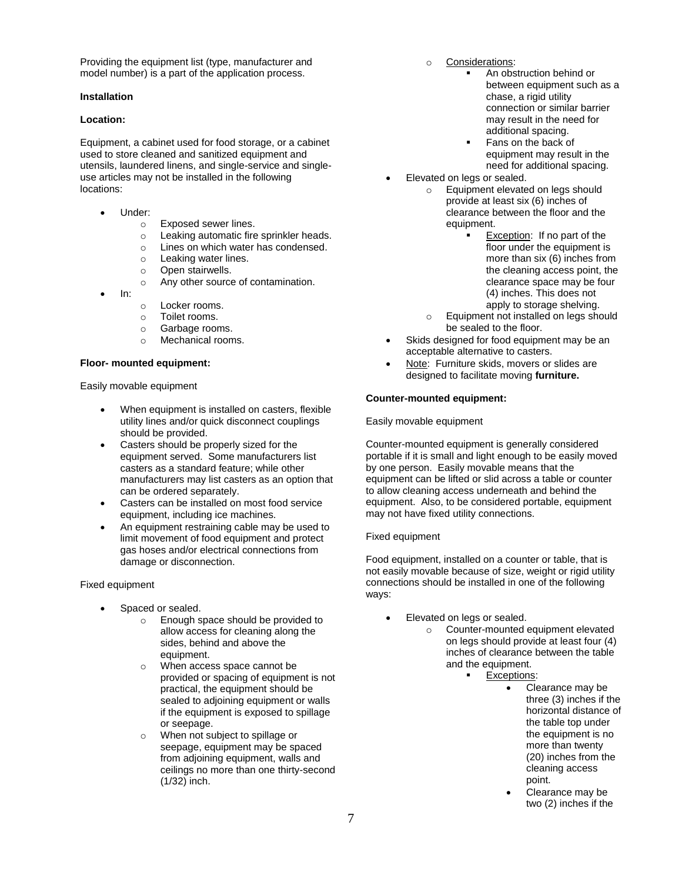Providing the equipment list (type, manufacturer and model number) is a part of the application process.

#### **Installation**

#### **Location:**

Equipment, a cabinet used for food storage, or a cabinet used to store cleaned and sanitized equipment and utensils, laundered linens, and single-service and singleuse articles may not be installed in the following locations:

- Under:
	- o Exposed sewer lines.
	- o Leaking automatic fire sprinkler heads.
	- o Lines on which water has condensed.
	- o Leaking water lines.
	- o Open stairwells.
	- o Any other source of contamination.
- In:
- o Locker rooms.
- o Toilet rooms.
- o Garbage rooms.
- o Mechanical rooms.

#### **Floor- mounted equipment:**

Easily movable equipment

- When equipment is installed on casters, flexible utility lines and/or quick disconnect couplings should be provided.
- Casters should be properly sized for the equipment served. Some manufacturers list casters as a standard feature; while other manufacturers may list casters as an option that can be ordered separately.
- Casters can be installed on most food service equipment, including ice machines.
- An equipment restraining cable may be used to limit movement of food equipment and protect gas hoses and/or electrical connections from damage or disconnection.

## Fixed equipment

- Spaced or sealed.
	- o Enough space should be provided to allow access for cleaning along the sides, behind and above the equipment.
	- o When access space cannot be provided or spacing of equipment is not practical, the equipment should be sealed to adjoining equipment or walls if the equipment is exposed to spillage or seepage.
	- o When not subject to spillage or seepage, equipment may be spaced from adjoining equipment, walls and ceilings no more than one thirty-second (1/32) inch.
- o Considerations:
	- An obstruction behind or between equipment such as a chase, a rigid utility connection or similar barrier may result in the need for additional spacing.
		- Fans on the back of equipment may result in the need for additional spacing.
- Elevated on legs or sealed.
	- o Equipment elevated on legs should provide at least six (6) inches of clearance between the floor and the equipment.
		- Exception: If no part of the floor under the equipment is more than six (6) inches from the cleaning access point, the clearance space may be four (4) inches. This does not apply to storage shelving.
	- o Equipment not installed on legs should be sealed to the floor.
- Skids designed for food equipment may be an acceptable alternative to casters.
- Note: Furniture skids, movers or slides are designed to facilitate moving **furniture.**

## **Counter-mounted equipment:**

## Easily movable equipment

Counter-mounted equipment is generally considered portable if it is small and light enough to be easily moved by one person. Easily movable means that the equipment can be lifted or slid across a table or counter to allow cleaning access underneath and behind the equipment. Also, to be considered portable, equipment may not have fixed utility connections.

## Fixed equipment

Food equipment, installed on a counter or table, that is not easily movable because of size, weight or rigid utility connections should be installed in one of the following ways:

- Elevated on legs or sealed.
	- o Counter-mounted equipment elevated on legs should provide at least four (4) inches of clearance between the table and the equipment.
		- Exceptions:
			- Clearance may be three (3) inches if the horizontal distance of the table top under the equipment is no more than twenty (20) inches from the cleaning access point.
			- Clearance may be two (2) inches if the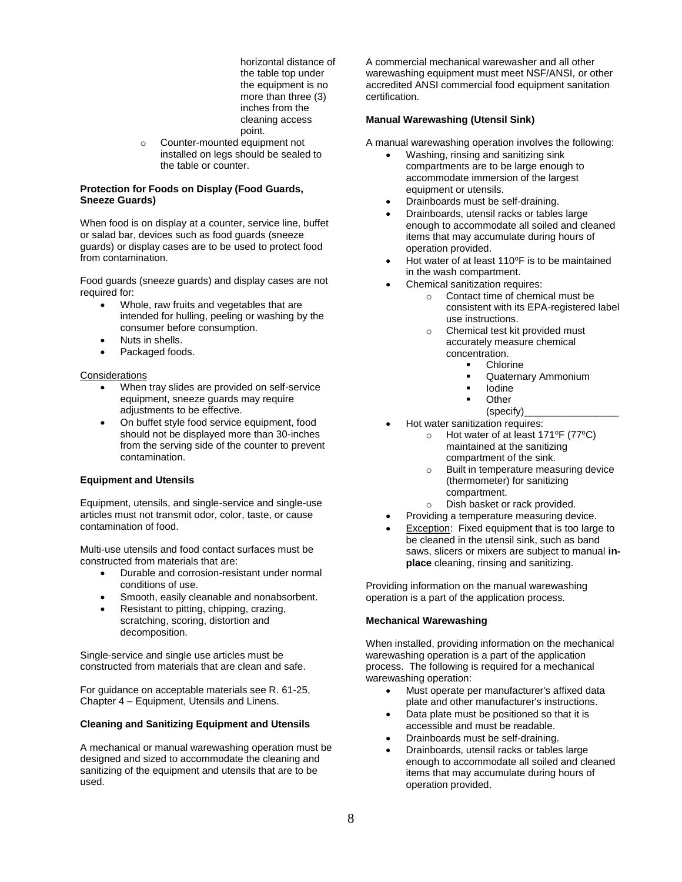horizontal distance of the table top under the equipment is no more than three (3) inches from the cleaning access point.

o Counter-mounted equipment not installed on legs should be sealed to the table or counter.

## **Protection for Foods on Display (Food Guards, Sneeze Guards)**

When food is on display at a counter, service line, buffet or salad bar, devices such as food guards (sneeze guards) or display cases are to be used to protect food from contamination.

Food guards (sneeze guards) and display cases are not required for:

- Whole, raw fruits and vegetables that are intended for hulling, peeling or washing by the consumer before consumption.
- Nuts in shells.
- Packaged foods.

## **Considerations**

- When tray slides are provided on self-service equipment, sneeze guards may require adjustments to be effective.
- On buffet style food service equipment, food should not be displayed more than 30-inches from the serving side of the counter to prevent contamination.

# **Equipment and Utensils**

Equipment, utensils, and single-service and single-use articles must not transmit odor, color, taste, or cause contamination of food.

Multi-use utensils and food contact surfaces must be constructed from materials that are:

- Durable and corrosion-resistant under normal conditions of use.
- Smooth, easily cleanable and nonabsorbent.
- Resistant to pitting, chipping, crazing, scratching, scoring, distortion and decomposition.

Single-service and single use articles must be constructed from materials that are clean and safe.

For guidance on acceptable materials see R. 61-25, Chapter 4 – Equipment, Utensils and Linens.

## **Cleaning and Sanitizing Equipment and Utensils**

A mechanical or manual warewashing operation must be designed and sized to accommodate the cleaning and sanitizing of the equipment and utensils that are to be used.

A commercial mechanical warewasher and all other warewashing equipment must meet NSF/ANSI, or other accredited ANSI commercial food equipment sanitation certification.

## **Manual Warewashing (Utensil Sink)**

A manual warewashing operation involves the following:

- Washing, rinsing and sanitizing sink compartments are to be large enough to accommodate immersion of the largest equipment or utensils.
- Drainboards must be self-draining.
- Drainboards, utensil racks or tables large enough to accommodate all soiled and cleaned items that may accumulate during hours of operation provided.
- Hot water of at least 110°F is to be maintained in the wash compartment.
- Chemical sanitization requires:
	- o Contact time of chemical must be consistent with its EPA-registered label use instructions.
	- o Chemical test kit provided must accurately measure chemical concentration.
		- **Chlorine** 
			- Quaternary Ammonium
			- **Iodine**
			- **Other**
			- (specify)\_\_\_\_\_\_\_\_\_\_\_\_\_\_\_\_\_
- Hot water sanitization requires:
	- o Hot water of at least  $171^{\circ}F$  (77 $^{\circ}C$ ) maintained at the sanitizing compartment of the sink.
	- o Built in temperature measuring device (thermometer) for sanitizing compartment.
	- o Dish basket or rack provided.
- Providing a temperature measuring device.
- Exception: Fixed equipment that is too large to be cleaned in the utensil sink, such as band saws, slicers or mixers are subject to manual **inplace** cleaning, rinsing and sanitizing.

Providing information on the manual warewashing operation is a part of the application process.

## **Mechanical Warewashing**

When installed, providing information on the mechanical warewashing operation is a part of the application process. The following is required for a mechanical warewashing operation:

- Must operate per manufacturer's affixed data plate and other manufacturer's instructions.
- Data plate must be positioned so that it is accessible and must be readable.
- Drainboards must be self-draining.
- Drainboards, utensil racks or tables large enough to accommodate all soiled and cleaned items that may accumulate during hours of operation provided.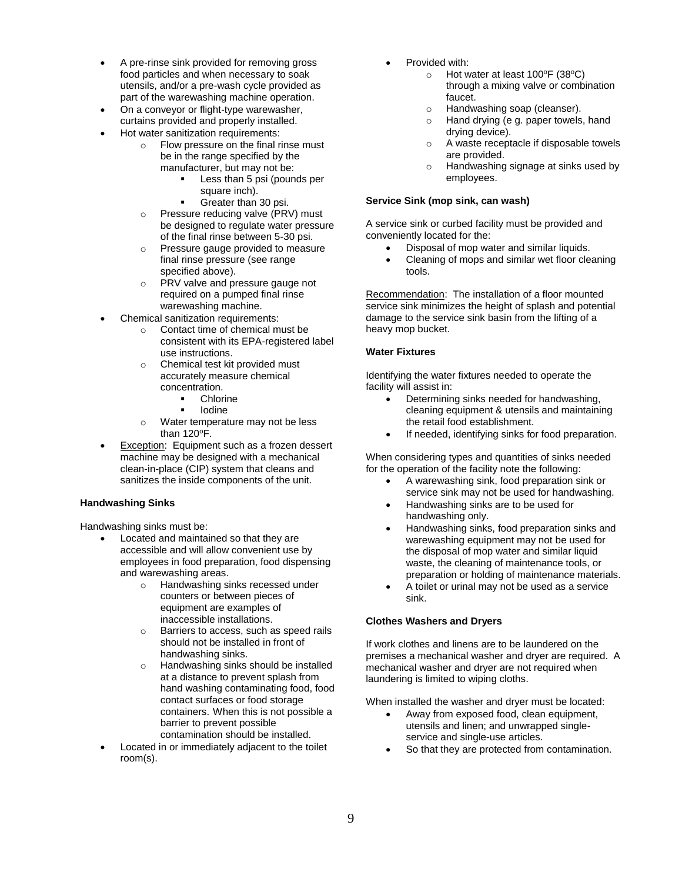- A pre-rinse sink provided for removing gross food particles and when necessary to soak utensils, and/or a pre-wash cycle provided as part of the warewashing machine operation.
- On a conveyor or flight-type warewasher, curtains provided and properly installed.
- Hot water sanitization requirements:
	- o Flow pressure on the final rinse must be in the range specified by the manufacturer, but may not be:
		- Less than 5 psi (pounds per square inch).
		- Greater than 30 psi.
	- o Pressure reducing valve (PRV) must be designed to regulate water pressure of the final rinse between 5-30 psi.
	- o Pressure gauge provided to measure final rinse pressure (see range specified above).
	- o PRV valve and pressure gauge not required on a pumped final rinse warewashing machine.
- Chemical sanitization requirements:
	- o Contact time of chemical must be consistent with its EPA-registered label use instructions.
	- o Chemical test kit provided must accurately measure chemical concentration.
		- Chlorine
		- **Iodine**
	- o Water temperature may not be less than  $120^{\circ}$ F.
- Exception: Equipment such as a frozen dessert machine may be designed with a mechanical clean-in-place (CIP) system that cleans and sanitizes the inside components of the unit.

# **Handwashing Sinks**

Handwashing sinks must be:

- Located and maintained so that they are accessible and will allow convenient use by employees in food preparation, food dispensing and warewashing areas.
	- o Handwashing sinks recessed under counters or between pieces of equipment are examples of inaccessible installations.
	- o Barriers to access, such as speed rails should not be installed in front of handwashing sinks.
	- o Handwashing sinks should be installed at a distance to prevent splash from hand washing contaminating food, food contact surfaces or food storage containers. When this is not possible a barrier to prevent possible contamination should be installed.
- Located in or immediately adjacent to the toilet room(s).
- Provided with:
	- o Hot water at least  $100^{\circ}F(38^{\circ}C)$ through a mixing valve or combination faucet.
	- o Handwashing soap (cleanser).
	- o Hand drying (e g. paper towels, hand drying device).
	- o A waste receptacle if disposable towels are provided.
	- o Handwashing signage at sinks used by employees.

# **Service Sink (mop sink, can wash)**

A service sink or curbed facility must be provided and conveniently located for the:

- Disposal of mop water and similar liquids.
- Cleaning of mops and similar wet floor cleaning tools.

Recommendation: The installation of a floor mounted service sink minimizes the height of splash and potential damage to the service sink basin from the lifting of a heavy mop bucket.

## **Water Fixtures**

Identifying the water fixtures needed to operate the facility will assist in:

- Determining sinks needed for handwashing, cleaning equipment & utensils and maintaining the retail food establishment.
- If needed, identifying sinks for food preparation.

When considering types and quantities of sinks needed for the operation of the facility note the following:

- A warewashing sink, food preparation sink or service sink may not be used for handwashing.
- Handwashing sinks are to be used for handwashing only.
- Handwashing sinks, food preparation sinks and warewashing equipment may not be used for the disposal of mop water and similar liquid waste, the cleaning of maintenance tools, or preparation or holding of maintenance materials.
- A toilet or urinal may not be used as a service sink.

# **Clothes Washers and Dryers**

If work clothes and linens are to be laundered on the premises a mechanical washer and dryer are required. A mechanical washer and dryer are not required when laundering is limited to wiping cloths.

When installed the washer and dryer must be located:

- Away from exposed food, clean equipment, utensils and linen; and unwrapped singleservice and single-use articles.
- So that they are protected from contamination.